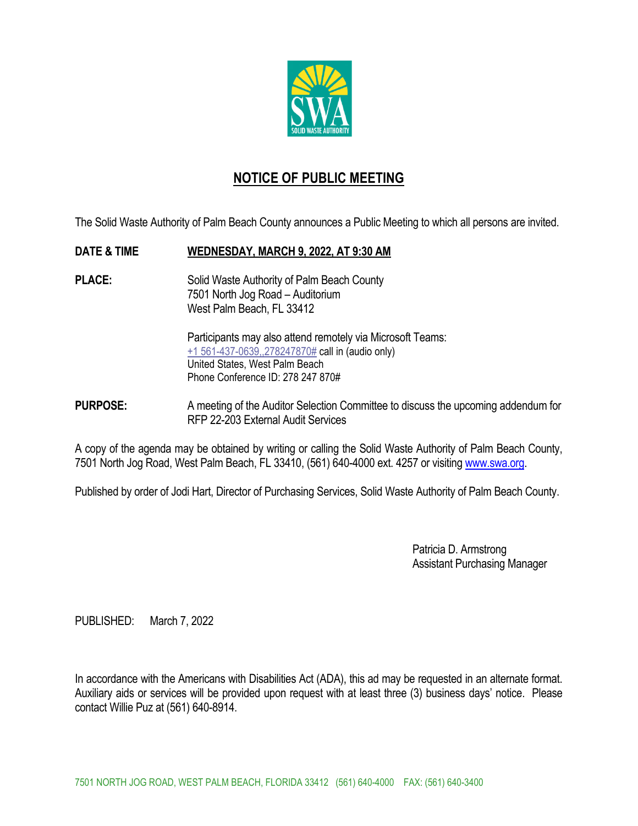

### **NOTICE OF PUBLIC MEETING**

The Solid Waste Authority of Palm Beach County announces a Public Meeting to which all persons are invited.

#### **DATE & TIME WEDNESDAY, MARCH 9, 2022, AT 9:30 AM**

**PLACE:** Solid Waste Authority of Palm Beach County 7501 North Jog Road – Auditorium West Palm Beach, FL 33412

> Participants may also attend remotely via Microsoft Teams: +1 561-437-0639,,278247870# call in (audio only) United States, West Palm Beach Phone Conference ID: 278 247 870#

**PURPOSE:** A meeting of the Auditor Selection Committee to discuss the upcoming addendum for RFP 22-203 External Audit Services

A copy of the agenda may be obtained by writing or calling the Solid Waste Authority of Palm Beach County, 7501 North Jog Road, West Palm Beach, FL 33410, (561) 640-4000 ext. 4257 or visiting www.swa.org.

Published by order of Jodi Hart, Director of Purchasing Services, Solid Waste Authority of Palm Beach County.

 Patricia D. Armstrong Assistant Purchasing Manager

PUBLISHED: March 7, 2022

In accordance with the Americans with Disabilities Act (ADA), this ad may be requested in an alternate format. Auxiliary aids or services will be provided upon request with at least three (3) business days' notice. Please contact Willie Puz at (561) 640-8914.